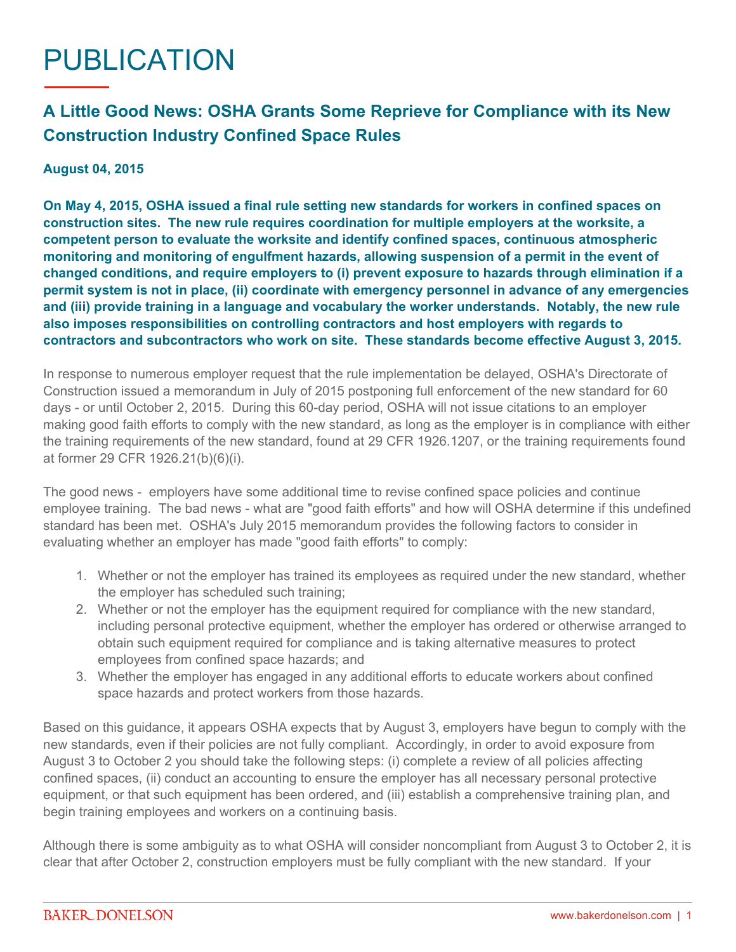## PUBLICATION

## **A Little Good News: OSHA Grants Some Reprieve for Compliance with its New Construction Industry Confined Space Rules**

## **August 04, 2015**

**On May 4, 2015, OSHA issued a final rule setting new standards for workers in confined spaces on construction sites. The new rule requires coordination for multiple employers at the worksite, a competent person to evaluate the worksite and identify confined spaces, continuous atmospheric monitoring and monitoring of engulfment hazards, allowing suspension of a permit in the event of changed conditions, and require employers to (i) prevent exposure to hazards through elimination if a permit system is not in place, (ii) coordinate with emergency personnel in advance of any emergencies and (iii) provide training in a language and vocabulary the worker understands. Notably, the new rule also imposes responsibilities on controlling contractors and host employers with regards to contractors and subcontractors who work on site. These standards become effective August 3, 2015.**

In response to numerous employer request that the rule implementation be delayed, OSHA's Directorate of Construction issued a memorandum in July of 2015 postponing full enforcement of the new standard for 60 days - or until October 2, 2015. During this 60-day period, OSHA will not issue citations to an employer making good faith efforts to comply with the new standard, as long as the employer is in compliance with either the training requirements of the new standard, found at 29 CFR 1926.1207, or the training requirements found at former 29 CFR 1926.21(b)(6)(i).

The good news - employers have some additional time to revise confined space policies and continue employee training. The bad news - what are "good faith efforts" and how will OSHA determine if this undefined standard has been met. OSHA's July 2015 memorandum provides the following factors to consider in evaluating whether an employer has made "good faith efforts" to comply:

- 1. Whether or not the employer has trained its employees as required under the new standard, whether the employer has scheduled such training;
- 2. Whether or not the employer has the equipment required for compliance with the new standard, including personal protective equipment, whether the employer has ordered or otherwise arranged to obtain such equipment required for compliance and is taking alternative measures to protect employees from confined space hazards; and
- 3. Whether the employer has engaged in any additional efforts to educate workers about confined space hazards and protect workers from those hazards.

Based on this guidance, it appears OSHA expects that by August 3, employers have begun to comply with the new standards, even if their policies are not fully compliant. Accordingly, in order to avoid exposure from August 3 to October 2 you should take the following steps: (i) complete a review of all policies affecting confined spaces, (ii) conduct an accounting to ensure the employer has all necessary personal protective equipment, or that such equipment has been ordered, and (iii) establish a comprehensive training plan, and begin training employees and workers on a continuing basis.

Although there is some ambiguity as to what OSHA will consider noncompliant from August 3 to October 2, it is clear that after October 2, construction employers must be fully compliant with the new standard. If your